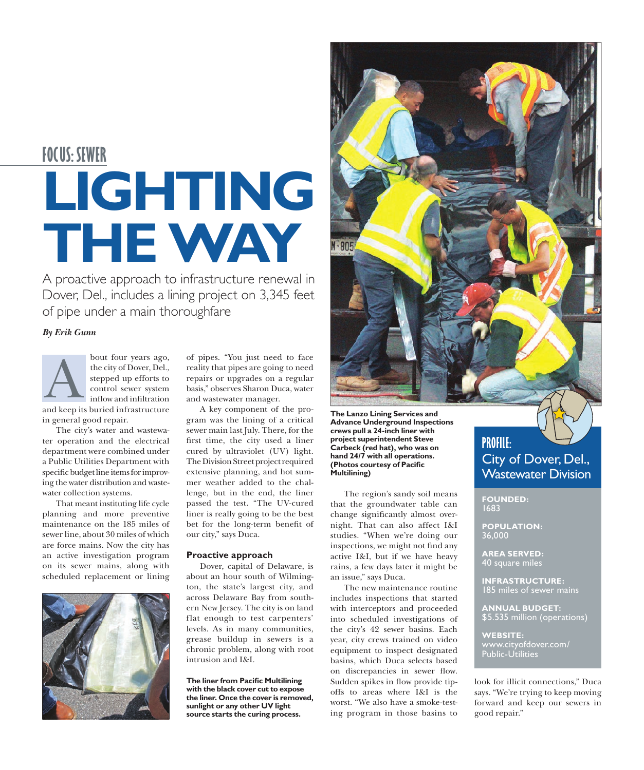# **LIGHTING THE WAY FOCUS: SEWER**

A proactive approach to infrastructure renewal in Dover, Del., includes a lining project on 3,345 feet of pipe under a main thoroughfare

## *By Erik Gunn*



The city's water and wastewater operation and the electrical department were combined under a Public Utilities Department with specific budget line items for improving the water distribution and wastewater collection systems.

That meant instituting life cycle planning and more preventive maintenance on the 185 miles of sewer line, about 30 miles of which are force mains. Now the city has an active investigation program on its sewer mains, along with scheduled replacement or lining



of pipes. "You just need to face reality that pipes are going to need repairs or upgrades on a regular basis," observes Sharon Duca, water and wastewater manager.

A key component of the program was the lining of a critical sewer main last July. There, for the first time, the city used a liner cured by ultraviolet (UV) light. The Division Street project required extensive planning, and hot summer weather added to the challenge, but in the end, the liner passed the test. "The UV-cured liner is really going to be the best bet for the long-term benefit of our city," says Duca.

#### **Proactive approach**

Dover, capital of Delaware, is about an hour south of Wilmington, the state's largest city, and across Delaware Bay from southern New Jersey. The city is on land flat enough to test carpenters' levels. As in many communities, grease buildup in sewers is a chronic problem, along with root intrusion and I&I.

**The liner from Pacific Multilining with the black cover cut to expose the liner. Once the cover is removed, sunlight or any other UV light source starts the curing process.**

**The Lanzo Lining Services and Advance Underground Inspections crews pull a 24-inch liner with project superintendent Steve Carbeck (red hat), who was on hand 24/7 with all operations. (Photos courtesy of Pacific Multilining)**

M-805

The region's sandy soil means that the groundwater table can change significantly almost overnight. That can also affect I&I studies. "When we're doing our inspections, we might not find any active I&I, but if we have heavy rains, a few days later it might be an issue," says Duca.

The new maintenance routine includes inspections that started with interceptors and proceeded into scheduled investigations of the city's 42 sewer basins. Each year, city crews trained on video equipment to inspect designated basins, which Duca selects based on discrepancies in sewer flow. Sudden spikes in flow provide tipoffs to areas where I&I is the worst. "We also have a smoke-testing program in those basins to



**FOUNDED:** 1683

**POPULATION:** 36,000

**AREA SERVED:** 40 square miles

**INFRASTRUCTURE:**  185 miles of sewer mains

**ANNUAL BUDGET:**  \$5.535 million (operations)

**WEBSITE:** www.cityofdover.com/ Public-Utilities

look for illicit connections," Duca says. "We're trying to keep moving forward and keep our sewers in good repair."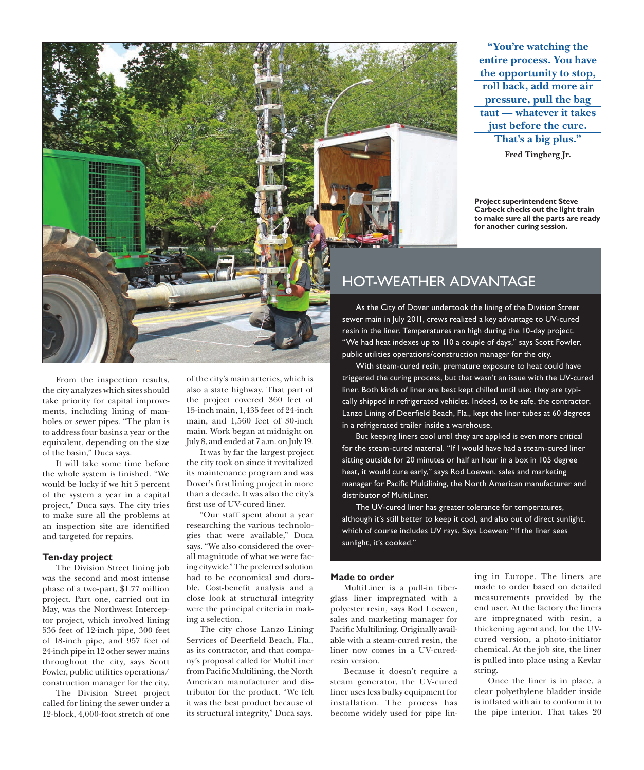**"You're watching the entire process. You have the opportunity to stop, roll back, add more air pressure, pull the bag taut — whatever it takes just before the cure. That's a big plus."**

**Fred Tingberg Jr.**

**Project superintendent Steve Carbeck checks out the light train to make sure all the parts are ready for another curing session.**

From the inspection results, the city analyzes which sites should take priority for capital improvements, including lining of manholes or sewer pipes. "The plan is to address four basins a year or the equivalent, depending on the size of the basin," Duca says.

It will take some time before the whole system is finished. "We would be lucky if we hit 5 percent of the system a year in a capital project," Duca says. The city tries to make sure all the problems at an inspection site are identified and targeted for repairs.

## **Ten-day project**

The Division Street lining job was the second and most intense phase of a two-part, \$1.77 million project. Part one, carried out in May, was the Northwest Interceptor project, which involved lining 536 feet of 12-inch pipe, 300 feet of 18-inch pipe, and 957 feet of 24-inch pipe in 12 other sewer mains throughout the city, says Scott Fowler, public utilities operations/ construction manager for the city.

The Division Street project called for lining the sewer under a 12-block, 4,000-foot stretch of one

of the city's main arteries, which is also a state highway. That part of the project covered 360 feet of 15-inch main, 1,435 feet of 24-inch main, and 1,560 feet of 30-inch main. Work began at midnight on July 8, and ended at 7 a.m. on July 19.

It was by far the largest project the city took on since it revitalized its maintenance program and was Dover's first lining project in more than a decade. It was also the city's first use of UV-cured liner.

"Our staff spent about a year researching the various technologies that were available," Duca says. "We also considered the overall magnitude of what we were facing citywide." The preferred solution had to be economical and durable. Cost-benefit analysis and a close look at structural integrity were the principal criteria in making a selection.

The city chose Lanzo Lining Services of Deerfield Beach, Fla., as its contractor, and that company's proposal called for MultiLiner from Pacific Multilining, the North American manufacturer and distributor for the product. "We felt it was the best product because of its structural integrity," Duca says.

## HOT-WEATHER ADVANTAGE

As the City of Dover undertook the lining of the Division Street sewer main in July 2011, crews realized a key advantage to UV-cured resin in the liner. Temperatures ran high during the 10-day project. "We had heat indexes up to 110 a couple of days," says Scott Fowler, public utilities operations/construction manager for the city.

With steam-cured resin, premature exposure to heat could have triggered the curing process, but that wasn't an issue with the UV-cured liner. Both kinds of liner are best kept chilled until use; they are typically shipped in refrigerated vehicles. Indeed, to be safe, the contractor, Lanzo Lining of Deerfield Beach, Fla., kept the liner tubes at 60 degrees in a refrigerated trailer inside a warehouse.

But keeping liners cool until they are applied is even more critical for the steam-cured material. "If I would have had a steam-cured liner sitting outside for 20 minutes or half an hour in a box in 105 degree heat, it would cure early," says Rod Loewen, sales and marketing manager for Pacific Multilining, the North American manufacturer and distributor of MultiLiner.

The UV-cured liner has greater tolerance for temperatures, although it's still better to keep it cool, and also out of direct sunlight, which of course includes UV rays. Says Loewen: "If the liner sees sunlight, it's cooked."

### **Made to order**

MultiLiner is a pull-in fiberglass liner impregnated with a polyester resin, says Rod Loewen, sales and marketing manager for Pacific Multilining. Originally available with a steam-cured resin, the liner now comes in a UV-curedresin version.

Because it doesn't require a steam generator, the UV-cured liner uses less bulky equipment for installation. The process has become widely used for pipe lining in Europe. The liners are made to order based on detailed measurements provided by the end user. At the factory the liners are impregnated with resin, a thickening agent and, for the UVcured version, a photo-initiator chemical. At the job site, the liner is pulled into place using a Kevlar string.

Once the liner is in place, a clear polyethylene bladder inside is inflated with air to conform it to the pipe interior. That takes 20